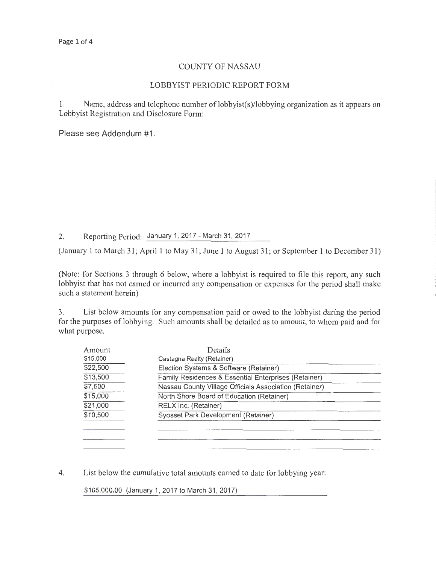### COUNTY OF NASSAU

#### LOBBYIST PERIODIC REPORT FORM

1. Name, address and telephone number of lobbyist(s)/lobbying organization as it appears on Lobbyist Registration and Disclosure Form:

Please see Addendum #1 .

2. Reporting Period: January 1, 2017- March 31, 2017

(January 1 to March 31; April 1 to May 31; June 1 to August 31; or September 1 to December 31)

(Note: for Sections 3 through 6 below, where a lobbyist is required to file this report, any such lobbyist that has not earned or incurred any compensation or expenses for the period shall make such a statement herein)

3. List below amounts for any compensation paid or owed to the lobbyist during the period for the purposes of lobbying. Such amounts shall be detailed as to amount, to whom paid and for what purpose.

| Amount   | Details                                                |  |
|----------|--------------------------------------------------------|--|
| \$15,000 | Castagna Realty (Retainer)                             |  |
| \$22,500 | Election Systems & Software (Retainer)                 |  |
| \$13,500 | Family Residences & Essential Enterprises (Retainer)   |  |
| \$7,500  | Nassau County Village Officials Association (Retainer) |  |
| \$15,000 | North Shore Board of Education (Retainer)              |  |
| \$21,000 | RELX Inc. (Retainer)                                   |  |
| \$10,500 | Syosset Park Development (Retainer)                    |  |
|          |                                                        |  |
|          |                                                        |  |
|          |                                                        |  |

4. List below the cumulative total amounts earned to date for lobbying year:

\$105,000.00 (January 1, 2017 to March 31, 2017)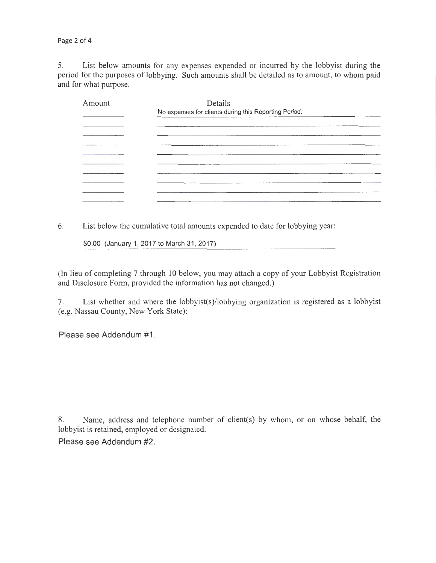Page 2 of 4

5. List below amounts for any expenses expended or incurred by the lobbyist during the period for the purposes of lobbying. Such amounts shall be detailed as to amount, to whom paid and for what purpose.

| Amount | Details                                               |
|--------|-------------------------------------------------------|
|        | No expenses for clients during this Reporting Period. |
|        |                                                       |
|        |                                                       |
|        |                                                       |
|        |                                                       |
|        |                                                       |
|        |                                                       |
|        |                                                       |
|        |                                                       |
|        |                                                       |
|        |                                                       |

6. List below the cumulative total amounts expended to date for lobbying year:

\$0.00 (January 1, 2017 to March 31, 2017)

(In lieu of completing 7 through 10 below, you may attach a copy of your Lobbyist Registration and Disclosure Form, provided the information has not changed.)

7. List whether and where the lobbyist(s)/lobbying organization is registered as a lobbyist (e.g. Nassau County, New York State):

Please see Addendum #1.

8. Name, address and telephone number of client(s) by whom, or on whose behalf, the lobbyist is retained, employed or designated.

Please see Addendum #2.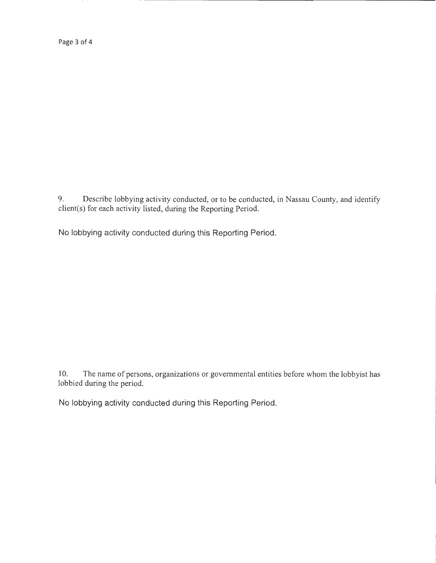Page 3 of 4

9. Describe lobbying activity conducted, or to be conducted, in Nassau County, and identify client(s) for each activity listed, during the Reporting Period.

No lobbying activity conducted during this Reporting Period.

10. The name of persons, organizations or governmental entities before whom the lobbyist has lobbied during the period.

No lobbying activity conducted during this Reporting Period.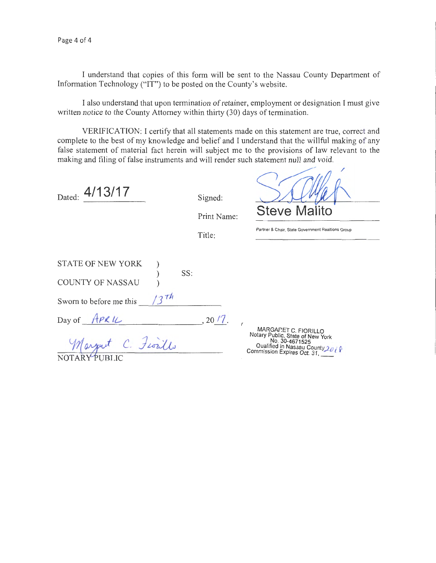I understand that copies of this form will be sent to the Nassau County Department of Information Technology ("IT") to be posted on the County's website.

I also understand that upon termination of retainer, employment or designation I must give written notice to the County Attorney within thirty (30) days of termination.

VERIFICATION: I certify that all statements made on this statement are true, correct and complete to the best of my knowledge and belief and I understand that the willful making of any false statement of material fact herein will subject me to the provisions of law relevant to the making and filing of false instruments and will render such statement null and void.

 $\sim$   $\sim$   $\sim$ 

| 4/13/17<br>Dated:                                                                             | Signed:<br>Print Name:<br>Title: | <b>Steve Malito</b><br>Partner & Chair. State Government Realtions Group                                      |
|-----------------------------------------------------------------------------------------------|----------------------------------|---------------------------------------------------------------------------------------------------------------|
| <b>STATE OF NEW YORK</b><br>SS:<br><b>COUNTY OF NASSAU</b><br>1274<br>Sworn to before me this |                                  |                                                                                                               |
| Day of APRIL<br>Marguet C. Fiorillo<br>NOTAR<br>PUBLIC                                        | , 20/7.                          | MARGARET C. FIORILLO<br>Notary Public, State of New York<br>No. 30-4671525<br>Qualified in Nassau County 2018 |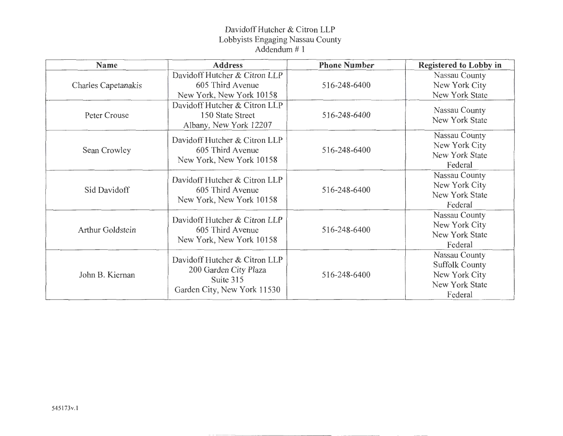# Davidoff Hutcher & Citron LLP Lobbyists Engaging Nassau County Addendum# 1

| Name                       | <b>Address</b>                                                                                     | <b>Phone Number</b> | <b>Registered to Lobby in</b>                                                        |
|----------------------------|----------------------------------------------------------------------------------------------------|---------------------|--------------------------------------------------------------------------------------|
| <b>Charles Capetanakis</b> | Davidoff Hutcher & Citron LLP<br>605 Third Avenue<br>New York, New York 10158                      | 516-248-6400        | Nassau County<br>New York City<br>New York State                                     |
| Peter Crouse               | Davidoff Hutcher & Citron LLP<br>150 State Street<br>Albany, New York 12207                        | 516-248-6400        | Nassau County<br>New York State                                                      |
| Sean Crowley               | Davidoff Hutcher & Citron LLP<br>605 Third Avenue<br>New York, New York 10158                      | 516-248-6400        | Nassau County<br>New York City<br>New York State<br>Federal                          |
| Sid Davidoff               | Davidoff Hutcher & Citron LLP<br>605 Third Avenue<br>New York, New York 10158                      | 516-248-6400        | Nassau County<br>New York City<br>New York State<br>Federal                          |
| <b>Arthur Goldstein</b>    | Davidoff Hutcher & Citron LLP<br>605 Third Avenue<br>New York, New York 10158                      | 516-248-6400        | Nassau County<br>New York City<br>New York State<br>Federal                          |
| John B. Kiernan            | Davidoff Hutcher & Citron LLP<br>200 Garden City Plaza<br>Suite 315<br>Garden City, New York 11530 | 516-248-6400        | Nassau County<br><b>Suffolk County</b><br>New York City<br>New York State<br>Federal |

 $-$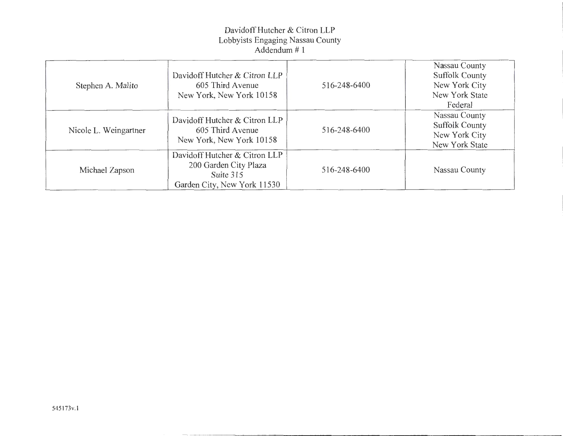# Davidoff Hutcher & Citron LLP Lobbyists Engaging Nassau County Addendum# 1

| Stephen A. Malito     | Davidoff Hutcher & Citron LLP<br>605 Third Avenue<br>New York, New York 10158                      | 516-248-6400 | Nassau County<br><b>Suffolk County</b><br>New York City<br>New York State<br>Federal |
|-----------------------|----------------------------------------------------------------------------------------------------|--------------|--------------------------------------------------------------------------------------|
| Nicole L. Weingartner | Davidoff Hutcher & Citron LLP<br>605 Third Avenue<br>New York, New York 10158                      | 516-248-6400 | Nassau County<br><b>Suffolk County</b><br>New York City<br>New York State            |
| Michael Zapson        | Davidoff Hutcher & Citron LLP<br>200 Garden City Plaza<br>Suite 315<br>Garden City, New York 11530 | 516-248-6400 | Nassau County                                                                        |